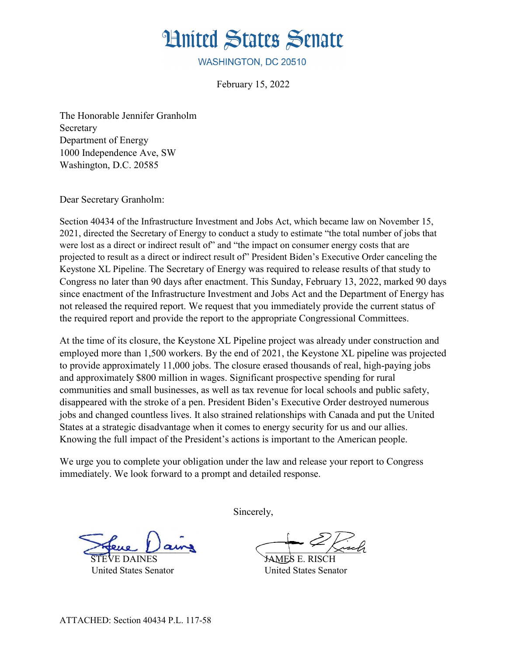## **Hnited States Senate**

WASHINGTON, DC 20510

February 15, 2022

The Honorable Jennifer Granholm Secretary Department of Energy 1000 Independence Ave, SW Washington, D.C. 20585

Dear Secretary Granholm:

Section 40434 of the Infrastructure Investment and Jobs Act, which became law on November 15, 2021, directed the Secretary of Energy to conduct a study to estimate "the total number of jobs that were lost as a direct or indirect result of" and "the impact on consumer energy costs that are projected to result as a direct or indirect result of" President Biden's Executive Order canceling the Keystone XL Pipeline. The Secretary of Energy was required to release results of that study to Congress no later than 90 days after enactment. This Sunday, February 13, 2022, marked 90 days since enactment of the Infrastructure Investment and Jobs Act and the Department of Energy has not released the required report. We request that you immediately provide the current status of the required report and provide the report to the appropriate Congressional Committees.

At the time of its closure, the Keystone XL Pipeline project was already under construction and employed more than 1,500 workers. By the end of 2021, the Keystone XL pipeline was projected to provide approximately 11,000 jobs. The closure erased thousands of real, high-paying jobs and approximately \$800 million in wages. Significant prospective spending for rural communities and small businesses, as well as tax revenue for local schools and public safety, disappeared with the stroke of a pen. President Biden's Executive Order destroyed numerous jobs and changed countless lives. It also strained relationships with Canada and put the United States at a strategic disadvantage when it comes to energy security for us and our allies. Knowing the full impact of the President's actions is important to the American people.

We urge you to complete your obligation under the law and release your report to Congress immediately. We look forward to a prompt and detailed response.

United States Senator United States Senator

Sincerely,

 $\frac{1}{2}$  aims  $\frac{1}{2}$ 

SAMES E. RISCH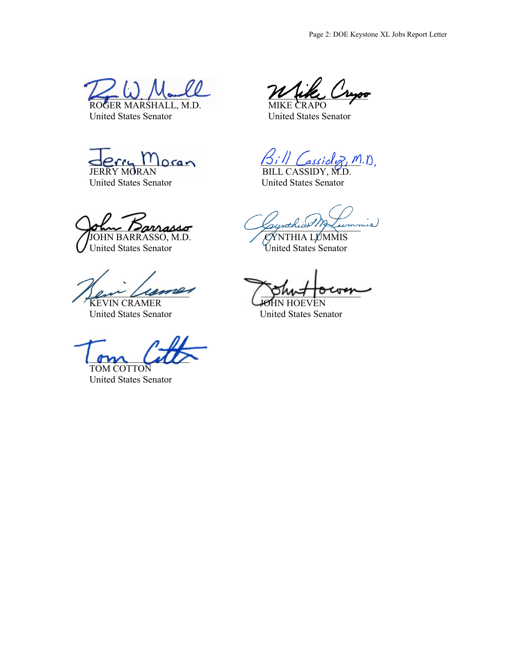

United States Senator United States Senator

United States Senator United States Senator

 $\alpha$ nasso, M.D.  $\sqrt{\frac{2\gamma}{\gamma}}$ JOHN BARRASSO, M.D.<br>United States Senator

United States Senator

om call

TOM COTTON United States Senator

 $\cos a \gamma$   $\beta_i$ ,  $\cos a \gamma$ ,  $n_{\text{on}}$ 

JERRY MORAN BILL CASSIDY, M.D.

United States Senator United States Senator

en Cromer punt our

KEVIN CRAMER<br>United States Senator<br>United States Senator